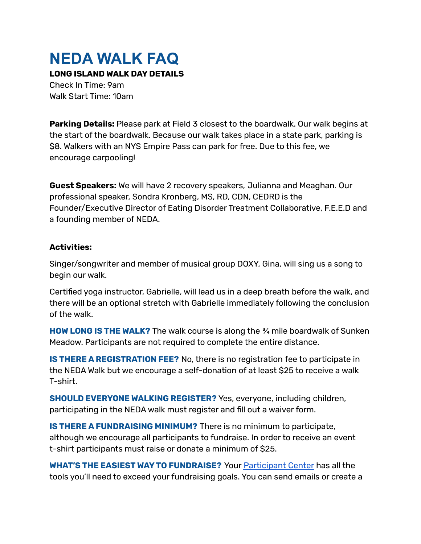## **NEDA WALK FAQ**

**LONG ISLAND WALK DAY DETAILS**

Check In Time: 9am Walk Start Time: 10am

**Parking Details:** Please park at Field 3 closest to the boardwalk. Our walk begins at the start of the boardwalk. Because our walk takes place in a state park, parking is \$8. Walkers with an NYS Empire Pass can park for free. Due to this fee, we encourage carpooling!

**Guest Speakers:** We will have 2 recovery speakers, Julianna and Meaghan. Our professional speaker, Sondra Kronberg, MS, RD, CDN, CEDRD is the Founder/Executive Director of Eating Disorder Treatment Collaborative, F.E.E.D and a founding member of NEDA.

## **Activities:**

Singer/songwriter and member of musical group DOXY, Gina, will sing us a song to begin our walk.

Certified yoga instructor, Gabrielle, will lead us in a deep breath before the walk, and there will be an optional stretch with Gabrielle immediately following the conclusion of the walk.

**HOW LONG IS THE WALK?** The walk course is along the ¾ mile boardwalk of Sunken Meadow. Participants are not required to complete the entire distance.

**IS THERE A REGISTRATION FEE?** No, there is no registration fee to participate in the NEDA Walk but we encourage a self-donation of at least \$25 to receive a walk T-shirt.

**SHOULD EVERYONE WALKING REGISTER?** Yes, everyone, including children, participating in the NEDA walk must register and fill out a waiver form.

**IS THERE A FUNDRAISING MINIMUM?** There is no minimum to participate, although we encourage all participants to fundraise. In order to receive an event t-shirt participants must raise or donate a minimum of \$25.

**WHAT'S THE EASIEST WAYTO FUNDRAISE?** Your [Participant](http://neda.nationaleatingdisorders.org/site/UserLogin?NEXTURL=http%3A%2F%2Fneda.nationaleatingdisorders.org%2Fsite%2FTRC%2FEvents%2FGeneral%3Fpg%3Dcenter%26fr_id%3D4828) Center has all the tools you'll need to exceed your fundraising goals. You can send emails or create a